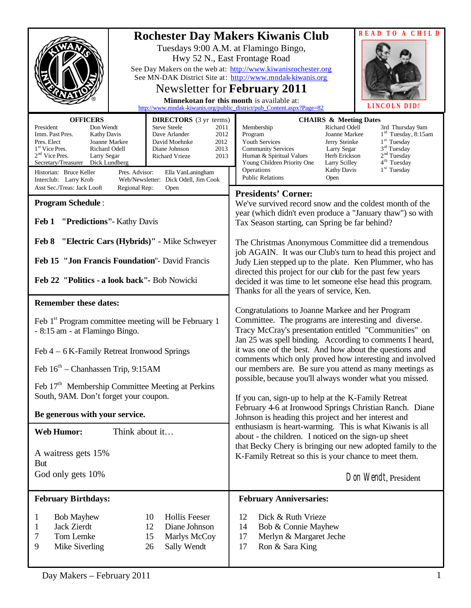|                                                                                                                                                                                                                                                                                                                                                                                                                                                                                                                                                             | READ TO A CHILD<br><b>Rochester Day Makers Kiwanis Club</b><br>Tuesdays 9:00 A.M. at Flamingo Bingo,<br>Hwy 52 N., East Frontage Road<br>See Day Makers on the web at: http://www.kiwanisrochester.org<br>See MN-DAK District Site at: http://www.mndak-kiwanis.org<br><b>Newsletter for February 2011</b><br>Minnekotan for this month is available at:<br>LINCOLN DID<br>http://www.mndak-kiwanis.org/public_district/pub_Content.aspx?Page=82                                                                                                                                                                                                    |  |
|-------------------------------------------------------------------------------------------------------------------------------------------------------------------------------------------------------------------------------------------------------------------------------------------------------------------------------------------------------------------------------------------------------------------------------------------------------------------------------------------------------------------------------------------------------------|-----------------------------------------------------------------------------------------------------------------------------------------------------------------------------------------------------------------------------------------------------------------------------------------------------------------------------------------------------------------------------------------------------------------------------------------------------------------------------------------------------------------------------------------------------------------------------------------------------------------------------------------------------|--|
| <b>OFFICERS</b><br><b>DIRECTORS</b> (3 yr terms)<br>President<br>Don Wendt<br><b>Steve Steele</b><br>2011<br>Imm. Past Pres.<br>Dave Arlander<br>2012<br><b>Kathy Davis</b><br>Pres. Elect<br>Joanne Markee<br>2012<br>David Moehnke<br>1 <sup>st</sup> Vice Pres.<br>Richard Odell<br>2013<br>Diane Johnson<br>$2nd$ Vice Pres.<br>Larry Segar<br><b>Richard Vrieze</b><br>2013<br>Secretary/Treasurer<br>Dick Lundberg<br>Historian: Bruce Keller<br>Pres. Advisor:<br>Ella VanLaningham<br>Interclub: Larry Krob<br>Web/Newsletter: Dick Odell, Jim Cook | <b>CHAIRS &amp; Meeting Dates</b><br>Richard Odell<br>Membership<br>3rd Thursday 9am<br>$1rd$ Tuesday, 8:15am<br>Joanne Markee<br>Program<br>$1st$ Tuesday<br>Youth Services<br>Jerry Steinke<br>3 <sup>rd</sup> Tuesday<br><b>Community Services</b><br>Larry Segar<br>2 <sup>nd</sup> Tuesday<br>Human & Spiritual Values<br>Herb Erickson<br>4 <sup>th</sup> Tuesday<br>Young Children Priority One<br>Larry Scilley<br>1 <sup>st</sup> Tuesday<br>Operations<br><b>Kathy Davis</b><br><b>Public Relations</b><br>Open                                                                                                                           |  |
| Asst Sec./Treas: Jack Looft<br>Regional Rep:<br>Open<br><b>Program Schedule:</b><br>Feb 1 "Predictions"- Kathy Davis<br>Feb 8 "Electric Cars (Hybrids)" - Mike Schweyer                                                                                                                                                                                                                                                                                                                                                                                     | <b>Presidents' Corner:</b><br>We've survived record snow and the coldest month of the<br>year (which didn't even produce a "January thaw") so with<br>Tax Season starting, can Spring be far behind?<br>The Christmas Anonymous Committee did a tremendous<br>job AGAIN. It was our Club's turn to head this project and                                                                                                                                                                                                                                                                                                                            |  |
| Feb 15 "Jon Francis Foundation" - David Francis<br>Feb 22 "Politics - a look back"- Bob Nowicki                                                                                                                                                                                                                                                                                                                                                                                                                                                             | Judy Lien stepped up to the plate. Ken Plummer, who has<br>directed this project for our club for the past few years<br>decided it was time to let someone else head this program.<br>Thanks for all the years of service, Ken.                                                                                                                                                                                                                                                                                                                                                                                                                     |  |
| <b>Remember these dates:</b><br>Feb 1 <sup>st</sup> Program committee meeting will be February 1<br>- 8:15 am - at Flamingo Bingo.<br>Feb 4 – 6 K-Family Retreat Ironwood Springs                                                                                                                                                                                                                                                                                                                                                                           | Congratulations to Joanne Markee and her Program<br>Committee. The programs are interesting and diverse.<br>Tracy McCray's presentation entitled "Communities" on<br>Jan 25 was spell binding. According to comments I heard,<br>it was one of the best. And how about the questions and<br>comments which only proved how interesting and involved<br>our members are. Be sure you attend as many meetings as<br>possible, because you'll always wonder what you missed.<br>If you can, sign-up to help at the K-Family Retreat<br>February 4-6 at Ironwood Springs Christian Ranch. Diane<br>Johnson is heading this project and her interest and |  |
| Feb $16^{\text{th}}$ – Chanhassen Trip, 9:15AM<br>Feb 17 <sup>th</sup> Membership Committee Meeting at Perkins<br>South, 9AM. Don't forget your coupon.                                                                                                                                                                                                                                                                                                                                                                                                     |                                                                                                                                                                                                                                                                                                                                                                                                                                                                                                                                                                                                                                                     |  |
| Be generous with your service.                                                                                                                                                                                                                                                                                                                                                                                                                                                                                                                              |                                                                                                                                                                                                                                                                                                                                                                                                                                                                                                                                                                                                                                                     |  |
| Think about it<br><b>Web Humor:</b><br>A waitress gets 15%<br>But<br>God only gets 10%                                                                                                                                                                                                                                                                                                                                                                                                                                                                      | enthusiasm is heart-warming. This is what Kiwanis is all<br>about - the children. I noticed on the sign-up sheet<br>that Becky Chery is bringing our new adopted family to the<br>K-Family Retreat so this is your chance to meet them.<br>Don Wendt, President                                                                                                                                                                                                                                                                                                                                                                                     |  |
| <b>February Birthdays:</b>                                                                                                                                                                                                                                                                                                                                                                                                                                                                                                                                  | <b>February Anniversaries:</b>                                                                                                                                                                                                                                                                                                                                                                                                                                                                                                                                                                                                                      |  |
| <b>Bob Mayhew</b><br>10<br><b>Hollis Feeser</b><br>1<br>12<br>Diane Johnson<br>Jack Zierdt<br>1<br>Tom Lemke<br>15<br>Marlys McCoy<br>7<br>9<br>Mike Siverling<br>26<br>Sally Wendt                                                                                                                                                                                                                                                                                                                                                                         | Dick & Ruth Vrieze<br>12<br>14<br>Bob & Connie Mayhew<br>Merlyn & Margaret Jeche<br>17<br>17<br>Ron & Sara King                                                                                                                                                                                                                                                                                                                                                                                                                                                                                                                                     |  |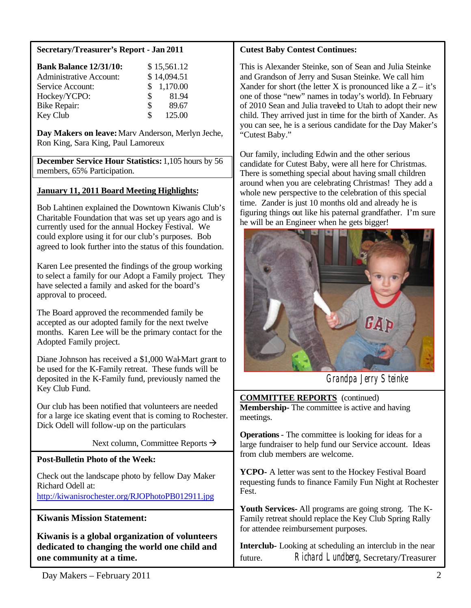## **Secretary/Treasurer's Report - Jan 2011**

| <b>Bank Balance 12/31/10:</b>  |    | \$15,561.12 |
|--------------------------------|----|-------------|
| <b>Administrative Account:</b> |    | \$14,094.51 |
| Service Account:               |    | \$1,170.00  |
| Hockey/YCPO:                   | S. | 81.94       |
| <b>Bike Repair:</b>            | S. | 89.67       |
| Key Club                       | Я  | 125.00      |

**Day Makers on leave:**Marv Anderson, Merlyn Jeche, Ron King, Sara King, Paul Lamoreux

**December Service Hour Statistics:** 1,105 hours by 56 members, 65% Participation.

# **January 11, 2011 Board Meeting Highlights:**

Bob Lahtinen explained the Downtown Kiwanis Club's Charitable Foundation that was set up years ago and is currently used for the annual Hockey Festival. We could explore using it for our club's purposes. Bob agreed to look further into the status of this foundation.

Karen Lee presented the findings of the group working to select a family for our Adopt a Family project. They have selected a family and asked for the board's approval to proceed.

The Board approved the recommended family be accepted as our adopted family for the next twelve months. Karen Lee will be the primary contact for the Adopted Family project.

Diane Johnson has received a \$1,000 Wal-Mart grant to be used for the K-Family retreat. These funds will be deposited in the K-Family fund, previously named the Key Club Fund.

Our club has been notified that volunteers are needed for a large ice skating event that is coming to Rochester. Dick Odell will follow-up on the particulars

Next column, Committee Reports  $\rightarrow$ 

# **Post-Bulletin Photo of the Week:**

Check out the landscape photo by fellow Day Maker Richard Odell at: <http://kiwanisrochester.org/RJOPhotoPB012911.jpg>

# **Kiwanis Mission Statement:**

**Kiwanis is a global organization of volunteers dedicated to changing the world one child and one community at a time.**

#### **Cutest Baby Contest Continues:**

This is Alexander Steinke, son of Sean and Julia Steinke and Grandson of Jerry and Susan Steinke. We call him Xander for short (the letter X is pronounced like a  $Z - it's$ one of those "new" names in today's world). In February of 2010 Sean and Julia traveled to Utah to adopt their new child. They arrived just in time for the birth of Xander. As you can see, he is a serious candidate for the Day Maker's "Cutest Baby."

Our family, including Edwin and the other serious candidate for Cutest Baby, were all here for Christmas. There is something special about having small children around when you are celebrating Christmas! They add a whole new perspective to the celebration of this special time. Zander is just 10 months old and already he is figuring things out like his paternal grandfather. I'm sure he will be an Engineer when he gets bigger!



Grandpa Jerry Steinke

**COMMITTEE REPORTS** (continued) **Membership-** The committee is active and having meetings.

**Operations**- The committee is looking for ideas for a large fundraiser to help fund our Service account. Ideas from club members are welcome.

**YCPO-** A letter was sent to the Hockey Festival Board requesting funds to finance Family Fun Night at Rochester Fest.

**Youth Services-** All programs are going strong. The K-Family retreat should replace the Key Club Spring Rally for attendee reimbursement purposes.

**Interclub-** Looking at scheduling an interclub in the near future. Richard Lundberg, Secretary/Treasurer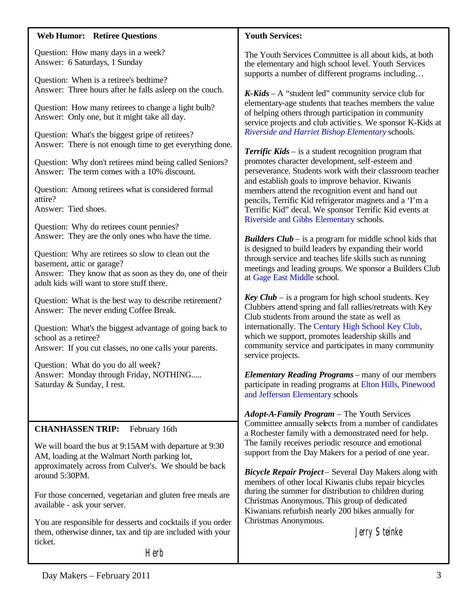## **Web Humor: Retiree Questions**

Question: How many days in a week? Answer: 6 Saturdays, 1 Sunday

Question: When is a retiree's bedtime? Answer: Three hours after he falls asleep on the couch.

Question: How many retirees to change a light bulb? Answer: Only one, but it might take all day.

Question: What's the biggest gripe of retirees? Answer: There is not enough time to get everything done.

Question: Why don't retirees mind being called Seniors? Answer: The term comes with a 10% discount.

Question: Among retirees what is considered formal attire? Answer: Tied shoes.

Question: Why do retirees count pennies? Answer: They are the only ones who have the time.

Question: Why are retirees so slow to clean out the basement, attic or garage? Answer: They know that as soon as they do, one of their adult kids will want to store stuff there.

Question: What is the best way to describe retirement? Answer: The never ending Coffee Break.

Question: What's the biggest advantage of going back to school as a retiree? Answer: If you cut classes, no one calls your parents.

Question: What do you do all week? Answer: Monday through Friday, NOTHING..... Saturday & Sunday, I rest.

# **CHANHASSEN TRIP:** February 16th

We will board the bus at 9:15AM with departure at 9:30 AM, loading at the Walmart North parking lot, approximately across from Culver's. We should be back around 5:30PM.

For those concerned, vegetarian and gluten free meals are available - ask your server.

You are responsible for desserts and cocktails if you order them, otherwise dinner, tax and tip are included with your ticket.

**Herb** 

## **Youth Services:**

The Youth Services Committee is all about kids, at both the elementary and high school level. Youth Services supports a number of different programs including…

*K-Kids* – A "student led" community service club for elementary-age students that teaches members the value of helping others through participation in community service projects and club activitie s. We sponsor K-Kids at *Riverside and Harriet Bishop Elementary* schools.

*Terrific Kids* – is a student recognition program that promotes character development, self-esteem and perseverance. Students work with their classroom teacher and establish goals to improve behavior. Kiwanis members attend the recognition event and hand out pencils, Terrific Kid refrigerator magnets and a 'I'm a Terrific Kid" decal. We sponsor Terrific Kid events at Riverside and Gibbs Elementary schools.

*Builders Club* – is a program for middle school kids that is designed to build leaders by expanding their world through service and teaches life skills such as running meetings and leading groups. We sponsor a Builders Club at Gage East Middle school.

*Key Club* – is a program for high school students. Key Clubbers attend spring and fall rallies/retreats with Key Club students from around the state as well as internationally. The Century High School Key Club, which we support, promotes leadership skills and community service and participates in many community service projects.

*Elementary Reading Programs* – many of our members participate in reading programs at Elton Hills, Pinewood and Jefferson Elementary schools

*Adopt-A-Family Program* – The Youth Services Committee annually selects from a number of candidates a Rochester family with a demonstrated need for help. The family receives periodic resource and emotional support from the Day Makers for a period of one year.

*Bicycle Repair Project* – Several Day Makers along with members of other local Kiwanis clubs repair bicycles during the summer for distribution to children during Christmas Anonymous. This group of dedicated Kiwanians refurbish nearly 200 bikes annually for Christmas Anonymous.

Jerry Steinke